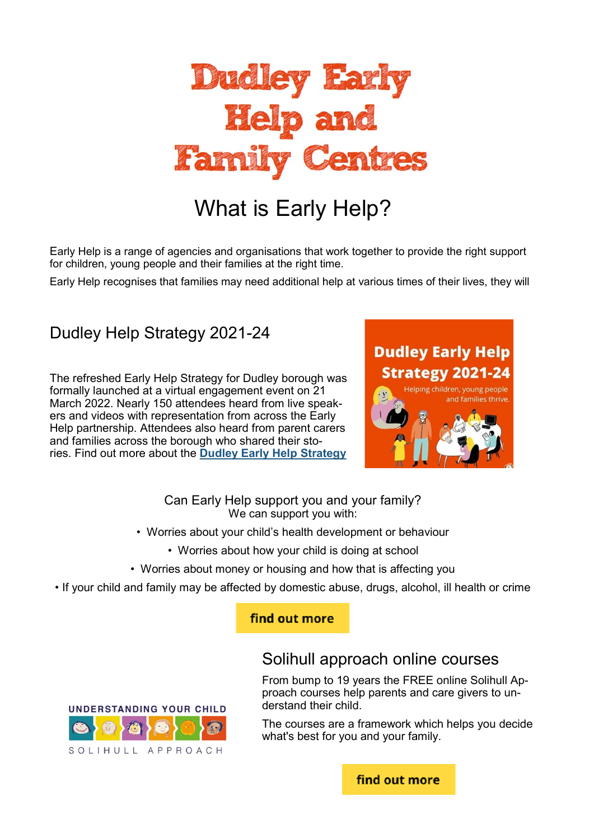

# What is Early Help?

Early Help is a range of agencies and organisations that work together to provide the right support for children, young people and their families at the right time.

Early Help recognises that families may need additional help at various times of their lives, they will

### Dudley Help Strategy 2021-24

The refreshed Early Help Strategy for Dudley borough was formally launched at a virtual engagement event on 21 March 2022. Nearly 150 attendees heard from live speakers and videos with representation from across the Early Help partnership. Attendees also heard from parent carers and families across the borough who shared their stories. Find out more about the **[Dudley Early Help Strategy](https://lnks.gd/l/eyJhbGciOiJIUzI1NiJ9.eyJidWxsZXRpbl9saW5rX2lkIjoxMDAsInVyaSI6ImJwMjpjbGljayIsImJ1bGxldGluX2lkIjoiMjAyMjAzMjUuNTU0Mzk1ODEiLCJ1cmwiOiJodHRwczovL3d3dy5kdWRsZXloZWFsdGhhbmR3ZWxsYmVpbmcub3JnLnVrL2Vhcmx5aGVscHN0cmF0ZWd5In0.2Tv1vVpu8WEKM3V0GeWWcvkY)**



#### Can Early Help support you and your family? We can support you with:

- Worries about your child's health development or behaviour
	- Worries about how your child is doing at school
- Worries about money or housing and how that is affecting you
- If your child and family may be affected by domestic abuse, drugs, alcohol, ill health or crime

#### find out more



### Solihull approach online courses

From bump to 19 years the FREE online Solihull Approach courses help parents and care givers to understand their child.

The courses are a framework which helps you decide what's best for you and your family.

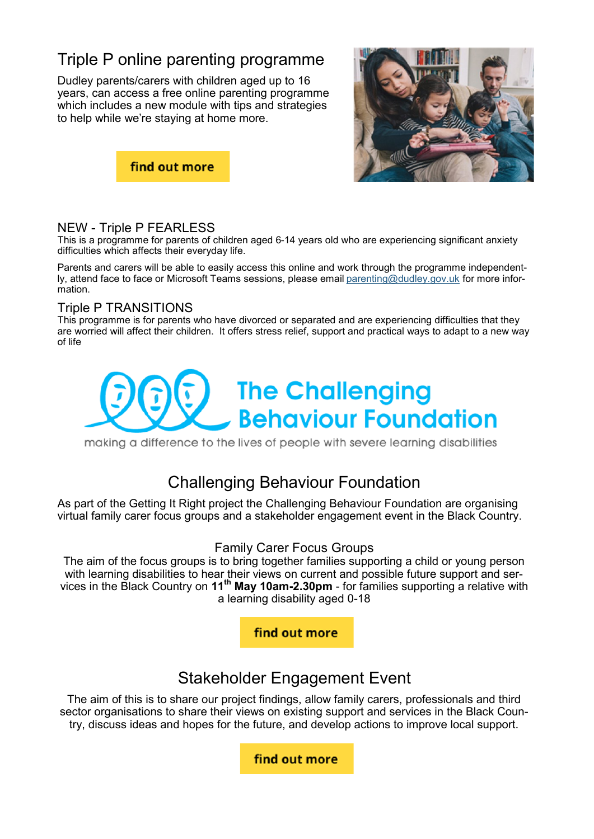# Triple P online parenting programme

Dudley parents/carers with children aged up to 16 years, can access a free online parenting programme which includes a new module with tips and strategies to help while we're staying at home more.





#### NEW - Triple P FEARLESS

This is a programme for parents of children aged 6-14 years old who are experiencing significant anxiety difficulties which affects their everyday life.

Parents and carers will be able to easily access this online and work through the programme independently, attend face to face or Microsoft Teams sessions, please email [parenting@dudley.gov.uk](mailto:parenting@dudley.gov.uk) for more information.

#### Triple P TRANSITIONS

This programme is for parents who have divorced or separated and are experiencing difficulties that they are worried will affect their children. It offers stress relief, support and practical ways to adapt to a new way of life



making a difference to the lives of people with severe learning disabilities

### Challenging Behaviour Foundation

As part of the Getting It Right project the Challenging Behaviour Foundation are organising virtual family carer focus groups and a stakeholder engagement event in the Black Country.

#### Family Carer Focus Groups

The aim of the focus groups is to bring together families supporting a child or young person with learning disabilities to hear their views on current and possible future support and services in the Black Country on **11th May 10am-2.30pm** - for families supporting a relative with a learning disability aged 0-18



### Stakeholder Engagement Event

The aim of this is to share our project findings, allow family carers, professionals and third sector organisations to share their views on existing support and services in the Black Country, discuss ideas and hopes for the future, and develop actions to improve local support.

find out more